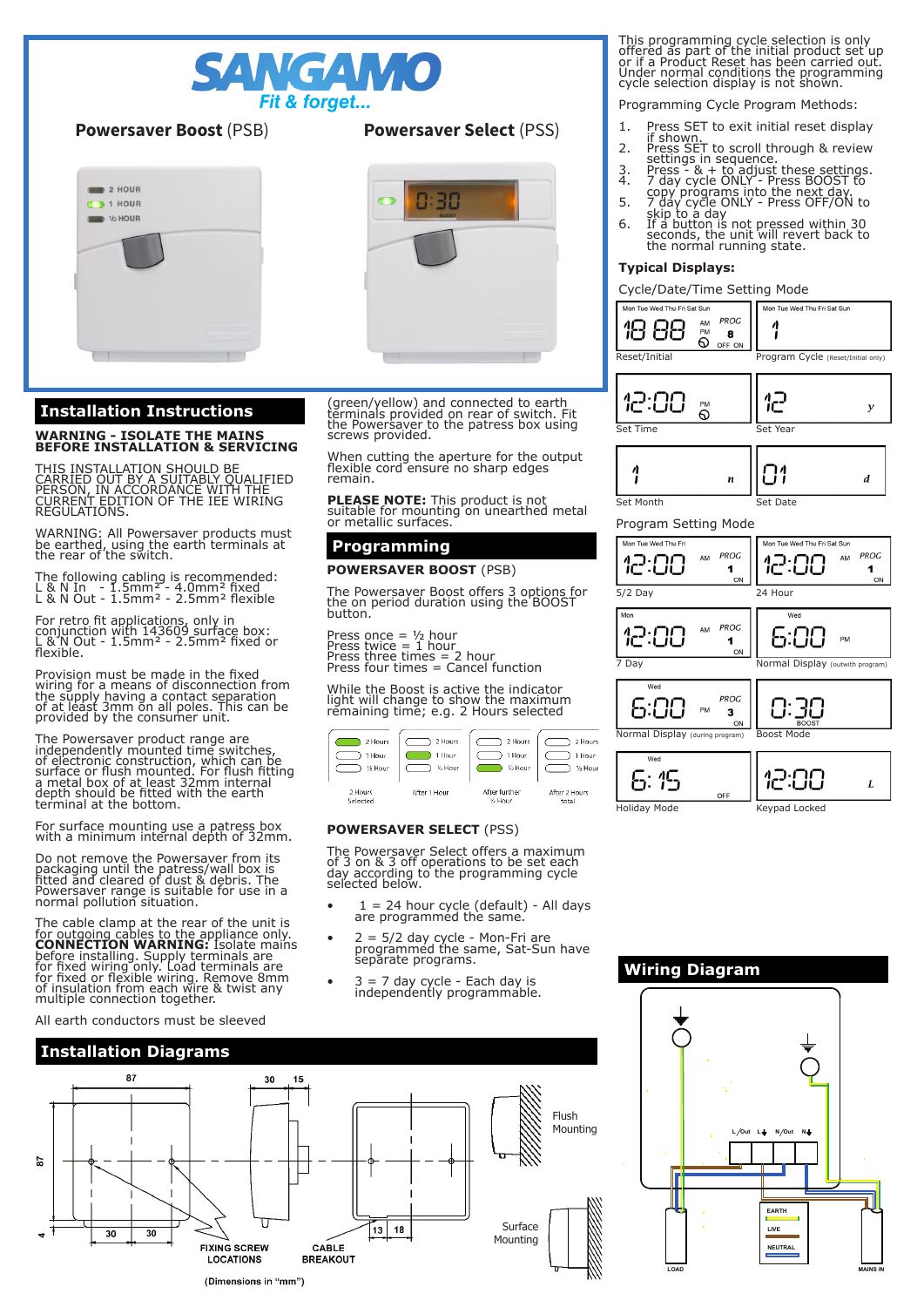

## **Powersaver Boost** (PSB)



# **Installation Instructions**

# **WARNING - ISOLATE THE MAINS BEFORE INSTALLATION & SERVICING**

THIS INSTALLATION SHOULD BE<br>CARRIED OUT BY A SUITABLY QUALIFIED<br>PERSON, IN ACCORDANCE WITH THE<br>CURRENT EDITION OF THE IEE WIRING **REGULATIONS** 

WARNING: All Powersaver products must be earthed, using the earth terminals at the rear of the switch.

The following cabling is recommended: L & N In - 1.5mm² - 4.0mm² fixed L & N Out - 1.5mm² - 2.5mm² flexible

For retro fit applications, only in conjunction with 143609 surface box: L & N Out - 1.5mm² - 2.5mm² fixed or flexible.

Provision must be made in the fixed wiring for a means of disconnection from the supply having a contact separation of at least 3mm on all poles. This can be provided by the consumer unit.

The Powersaver product range are<br>independently mounted time switches,<br>of electronic construction, which can be<br>surface or flush mounted. For flush fitting<br>a metal box of at least 32mm internal<br>depth should be fitted with t terminal at the bottom.

For surface mounting use a patress box with a minimum internal depth of 32mm.

Do not remove the Powersaver from its packaging until the patress/wall box is fitted and cleared of dust & debris. The Powersaver range is suitable for use in a normal pollution situation.

The cable clamp at the rear of the unit is for outgoing cables to the appliance only.<br>**CONNECTION WARNING:** Isolate mains<br>before installing. Supply terminals are<br>for fixed wiring only. Load terminals are<br>for fixed or flexible wiring. Remove 8mm<br>of insulation from e

All earth conductors must be sleeved

# **Powersaver Select** (PSS)



(green/yellow) and connected to earth terminals provided on rear of switch. Fit the Powersaver to the patress box using screws provided.

When cutting the aperture for the output flexible cord ensure no sharp edges remain.

**PLEASE NOTE:** This product is not<br>suitable for mounting on unearthed metal<br>or metallic surfaces.

## **Programming**

### **POWERSAVER BOOST** (PSB)

The Powersaver Boost offers 3 options for the on period duration using the BOOST button.

Press once = ½ hour<br>Press twice = 1 hour<br>Press three times = 2 hour<br>Press four times = Cancel function

While the Boost is active the indicator light will change to show the maximum remaining time; e.g. 2 Hours selected



### **POWERSAVER SELECT** (PSS)

The Powersaver Select offers a maximum of 3 on & 3 off operations to be set each day according to the programming cycle selected below.

- 1 = 24 hour cycle (default) All days are programmed the same.
- 2 = 5/2 day cycle Mon-Fri are programmed the same, Sat-Sun have separate programs.
- 3 = 7 day cycle Each day is independently programmable.



This programming cycle selection is only offered as part of the initial product set up or if a Product Reset has been carried out. Under normal conditions the programming cycle selection display is not shown.

Programming Cycle Program Methods:

- 1. Press SET to exit initial reset display
- if shown. 2. Press SET to scroll through & review
- settings in sequence. 3. Press & + to adjust these settings. 4. 7 day cycle ONLY Press BOOST to
	- copy programs into the next day. 5. 7 day cycle ONLY Press OFF/ON to
	-
	- skip to a day<br>6. If a button is not pressed within 30<br>seconds, the unit will revert back to<br>the normal running state.

### **Typical Displays:**

Cycle/Date/Time Setting Mode